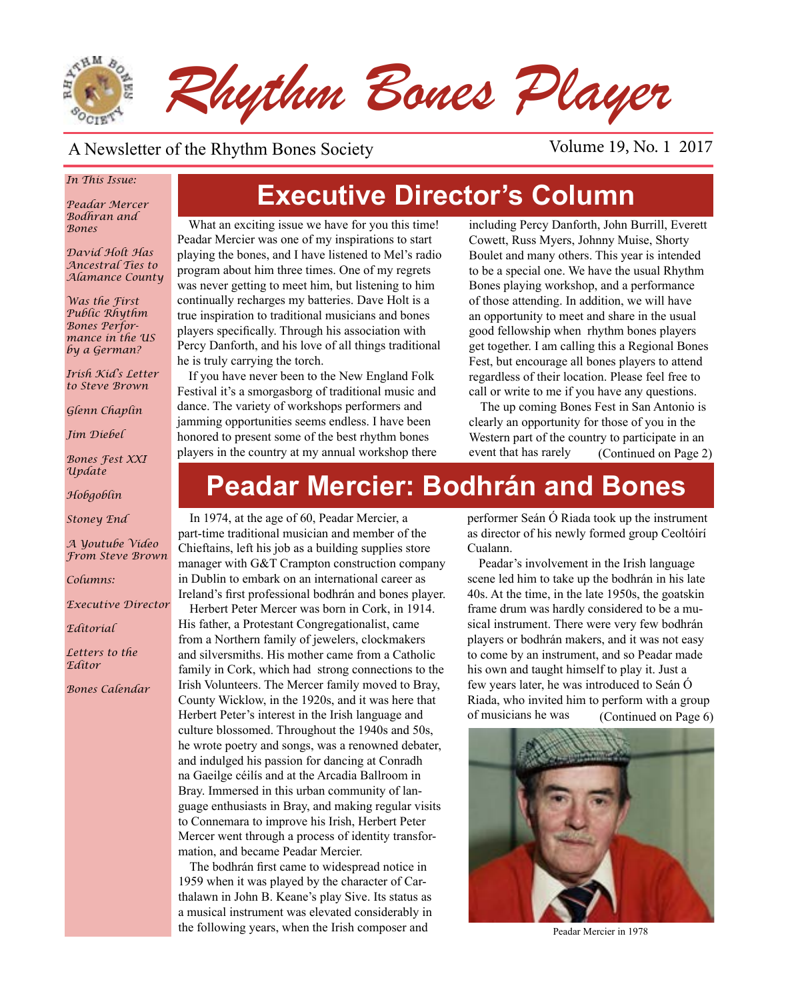

#### A Newsletter of the Rhythm Bones Society Volume 19, No. 1 2017

#### *In This Issue:*

*Peadar Mercer Bodhran and Bones*

*David Holt Has Ancestral Ties to Alamance County*

*Was the First Public Rhythm Bones Performance in the US by a German?*

*Irish Kid's Letter to Steve Brown*

*Glenn Chaplin*

*Jim Diebel*

*Bones Fest XXI Update*

*Hobgoblin*

*Stoney End*

*A Youtube Video From Steve Brown*

*Columns:* 

*Executive Director*

*Editorial*

*Letters to the Editor*

*Bones Calendar*

# **Executive Director's Column**

What an exciting issue we have for you this time! Peadar Mercier was one of my inspirations to start playing the bones, and I have listened to Mel's radio program about him three times. One of my regrets was never getting to meet him, but listening to him continually recharges my batteries. Dave Holt is a true inspiration to traditional musicians and bones players specifically. Through his association with Percy Danforth, and his love of all things traditional he is truly carrying the torch.

If you have never been to the New England Folk Festival it's a smorgasborg of traditional music and dance. The variety of workshops performers and jamming opportunities seems endless. I have been honored to present some of the best rhythm bones players in the country at my annual workshop there including Percy Danforth, John Burrill, Everett Cowett, Russ Myers, Johnny Muise, Shorty Boulet and many others. This year is intended to be a special one. We have the usual Rhythm Bones playing workshop, and a performance of those attending. In addition, we will have an opportunity to meet and share in the usual good fellowship when rhythm bones players get together. I am calling this a Regional Bones Fest, but encourage all bones players to attend regardless of their location. Please feel free to call or write to me if you have any questions.

The up coming Bones Fest in San Antonio is clearly an opportunity for those of you in the Western part of the country to participate in an event that has rarely (Continued on Page 2)

# **Peadar Mercier: Bodhrán and Bones**

In 1974, at the age of 60, Peadar Mercier, a part-time traditional musician and member of the Chieftains, left his job as a building supplies store manager with G&T Crampton construction company in Dublin to embark on an international career as Ireland's first professional bodhrán and bones player.

Herbert Peter Mercer was born in Cork, in 1914. His father, a Protestant Congregationalist, came from a Northern family of jewelers, clockmakers and silversmiths. His mother came from a Catholic family in Cork, which had strong connections to the Irish Volunteers. The Mercer family moved to Bray, County Wicklow, in the 1920s, and it was here that Herbert Peter's interest in the Irish language and culture blossomed. Throughout the 1940s and 50s, he wrote poetry and songs, was a renowned debater, and indulged his passion for dancing at Conradh na Gaeilge céilís and at the Arcadia Ballroom in Bray. Immersed in this urban community of language enthusiasts in Bray, and making regular visits to Connemara to improve his Irish, Herbert Peter Mercer went through a process of identity transformation, and became Peadar Mercier.

The bodhrán first came to widespread notice in 1959 when it was played by the character of Carthalawn in John B. Keane's play Sive. Its status as a musical instrument was elevated considerably in the following years, when the Irish composer and

performer Seán Ó Riada took up the instrument as director of his newly formed group Ceoltóirí Cualann.

Peadar's involvement in the Irish language scene led him to take up the bodhrán in his late 40s. At the time, in the late 1950s, the goatskin frame drum was hardly considered to be a musical instrument. There were very few bodhrán players or bodhrán makers, and it was not easy to come by an instrument, and so Peadar made his own and taught himself to play it. Just a few years later, he was introduced to Seán Ó Riada, who invited him to perform with a group of musicians he was (Continued on Page 6)



Peadar Mercier in 1978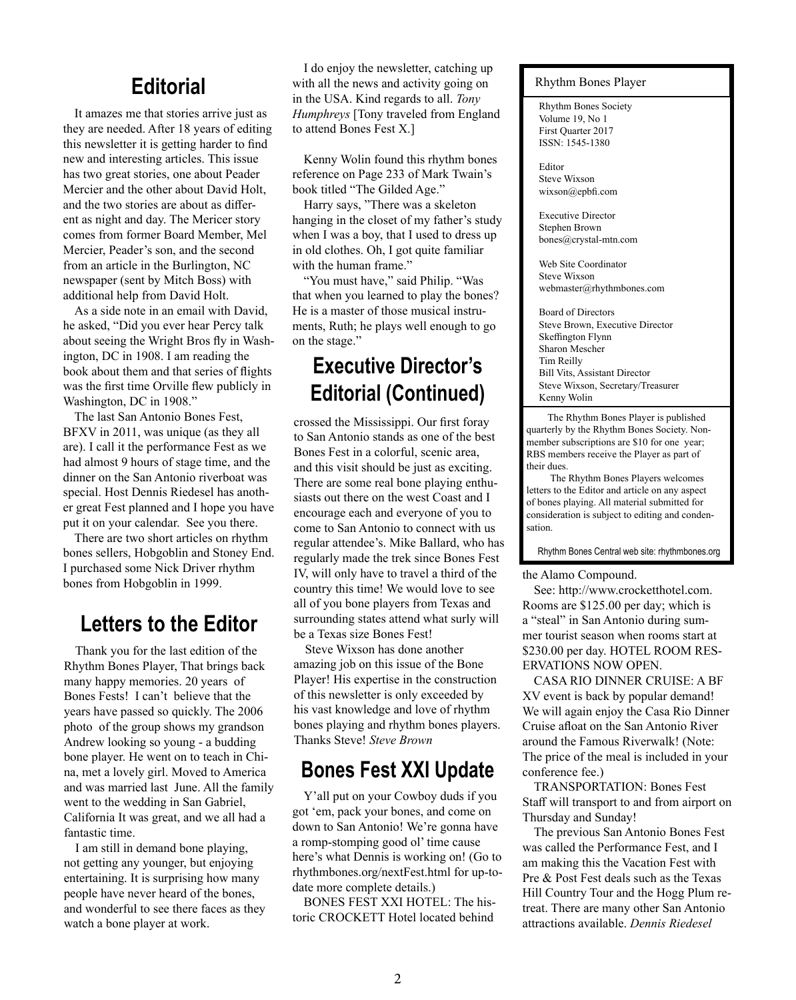#### **Editorial**

It amazes me that stories arrive just as they are needed. After 18 years of editing this newsletter it is getting harder to find new and interesting articles. This issue has two great stories, one about Peader Mercier and the other about David Holt, and the two stories are about as different as night and day. The Mericer story comes from former Board Member, Mel Mercier, Peader's son, and the second from an article in the Burlington, NC newspaper (sent by Mitch Boss) with additional help from David Holt.

As a side note in an email with David, he asked, "Did you ever hear Percy talk about seeing the Wright Bros fly in Washington, DC in 1908. I am reading the book about them and that series of flights was the first time Orville flew publicly in Washington, DC in 1908."

The last San Antonio Bones Fest, BFXV in 2011, was unique (as they all are). I call it the performance Fest as we had almost 9 hours of stage time, and the dinner on the San Antonio riverboat was special. Host Dennis Riedesel has another great Fest planned and I hope you have put it on your calendar. See you there.

There are two short articles on rhythm bones sellers, Hobgoblin and Stoney End. I purchased some Nick Driver rhythm bones from Hobgoblin in 1999.

#### **Letters to the Editor**

Thank you for the last edition of the Rhythm Bones Player, That brings back many happy memories. 20 years of Bones Fests! I can't believe that the years have passed so quickly. The 2006 photo of the group shows my grandson Andrew looking so young - a budding bone player. He went on to teach in China, met a lovely girl. Moved to America and was married last June. All the family went to the wedding in San Gabriel, California It was great, and we all had a fantastic time.

I am still in demand bone playing, not getting any younger, but enjoying entertaining. It is surprising how many people have never heard of the bones, and wonderful to see there faces as they watch a bone player at work.

I do enjoy the newsletter, catching up with all the news and activity going on in the USA. Kind regards to all. *Tony Humphreys* [Tony traveled from England to attend Bones Fest X.]

Kenny Wolin found this rhythm bones reference on Page 233 of Mark Twain's book titled "The Gilded Age."

Harry says, "There was a skeleton hanging in the closet of my father's study when I was a boy, that I used to dress up in old clothes. Oh, I got quite familiar with the human frame."

"You must have," said Philip. "Was that when you learned to play the bones? He is a master of those musical instruments, Ruth; he plays well enough to go on the stage."

# **Executive Director's Editorial (Continued)**

crossed the Mississippi. Our first foray to San Antonio stands as one of the best Bones Fest in a colorful, scenic area, and this visit should be just as exciting. There are some real bone playing enthusiasts out there on the west Coast and I encourage each and everyone of you to come to San Antonio to connect with us regular attendee's. Mike Ballard, who has regularly made the trek since Bones Fest IV, will only have to travel a third of the country this time! We would love to see all of you bone players from Texas and surrounding states attend what surly will be a Texas size Bones Fest!

Steve Wixson has done another amazing job on this issue of the Bone Player! His expertise in the construction of this newsletter is only exceeded by his vast knowledge and love of rhythm bones playing and rhythm bones players. Thanks Steve! *Steve Brown*

#### **Bones Fest XXI Update**

Y'all put on your Cowboy duds if you got 'em, pack your bones, and come on down to San Antonio! We're gonna have a romp-stomping good ol' time cause here's what Dennis is working on! (Go to rhythmbones.org/nextFest.html for up-todate more complete details.)

BONES FEST XXI HOTEL: The historic CROCKETT Hotel located behind

#### Rhythm Bones Player

Rhythm Bones Society Volume 19, No 1 First Quarter 2017 ISSN: 1545-1380

Editor Steve Wixson wixson@epbfi.com

Executive Director Stephen Brown bones@crystal-mtn.com

Web Site Coordinator Steve Wixson webmaster@rhythmbones.com

Board of Directors Steve Brown, Executive Director Skeffington Flynn Sharon Mescher Tim Reilly Bill Vits, Assistant Director Steve Wixson, Secretary/Treasurer Kenny Wolin  $\overline{a}$ 

 The Rhythm Bones Player is published quarterly by the Rhythm Bones Society. Nonmember subscriptions are \$10 for one year; RBS members receive the Player as part of their dues.

 The Rhythm Bones Players welcomes letters to the Editor and article on any aspect of bones playing. All material submitted for consideration is subject to editing and condensation.

Rhythm Bones Central web site: rhythmbones.org

#### the Alamo Compound.

See: http://www.crocketthotel.com. Rooms are \$125.00 per day; which is a "steal" in San Antonio during summer tourist season when rooms start at \$230.00 per day. HOTEL ROOM RES-ERVATIONS NOW OPEN.

CASA RIO DINNER CRUISE: A BF XV event is back by popular demand! We will again enjoy the Casa Rio Dinner Cruise afloat on the San Antonio River around the Famous Riverwalk! (Note: The price of the meal is included in your conference fee.)

TRANSPORTATION: Bones Fest Staff will transport to and from airport on Thursday and Sunday!

The previous San Antonio Bones Fest was called the Performance Fest, and I am making this the Vacation Fest with Pre & Post Fest deals such as the Texas Hill Country Tour and the Hogg Plum retreat. There are many other San Antonio attractions available. *Dennis Riedesel*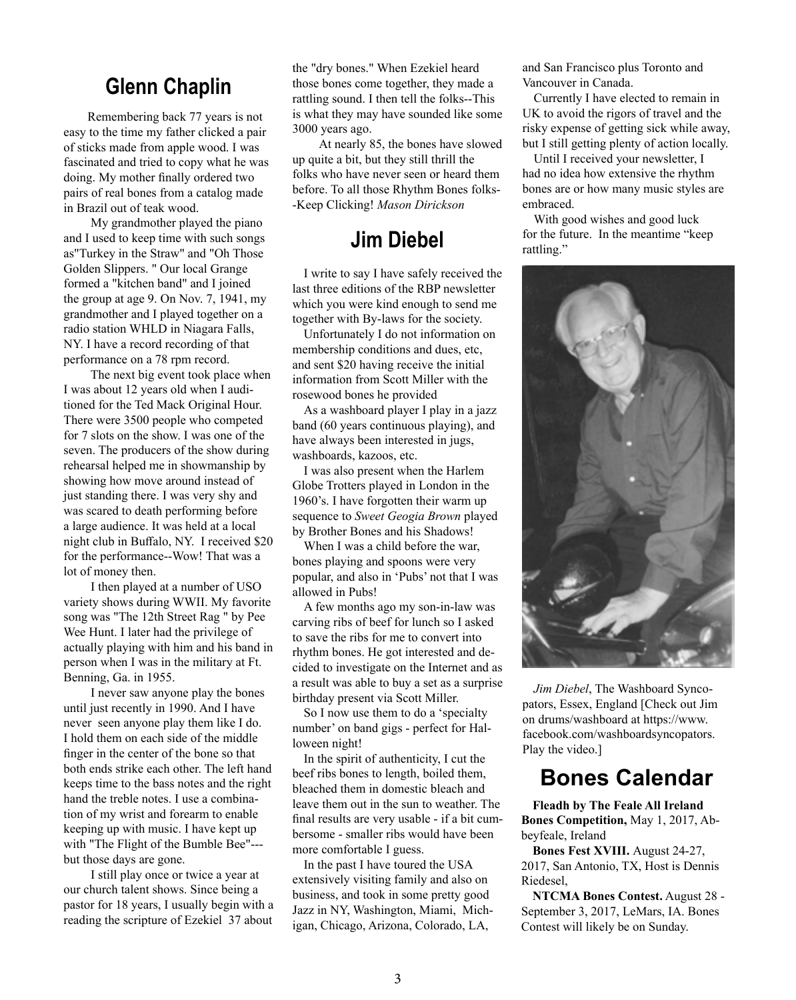#### **Glenn Chaplin**

 Remembering back 77 years is not easy to the time my father clicked a pair of sticks made from apple wood. I was fascinated and tried to copy what he was doing. My mother finally ordered two pairs of real bones from a catalog made in Brazil out of teak wood.

 My grandmother played the piano and I used to keep time with such songs as"Turkey in the Straw" and "Oh Those Golden Slippers. " Our local Grange formed a "kitchen band" and I joined the group at age 9. On Nov. 7, 1941, my grandmother and I played together on a radio station WHLD in Niagara Falls, NY. I have a record recording of that performance on a 78 rpm record.

 The next big event took place when I was about 12 years old when I auditioned for the Ted Mack Original Hour. There were 3500 people who competed for 7 slots on the show. I was one of the seven. The producers of the show during rehearsal helped me in showmanship by showing how move around instead of just standing there. I was very shy and was scared to death performing before a large audience. It was held at a local night club in Buffalo, NY. I received \$20 for the performance--Wow! That was a lot of money then.

 I then played at a number of USO variety shows during WWII. My favorite song was "The 12th Street Rag " by Pee Wee Hunt. I later had the privilege of actually playing with him and his band in person when I was in the military at Ft. Benning, Ga. in 1955.

 I never saw anyone play the bones until just recently in 1990. And I have never seen anyone play them like I do. I hold them on each side of the middle finger in the center of the bone so that both ends strike each other. The left hand keeps time to the bass notes and the right hand the treble notes. I use a combination of my wrist and forearm to enable keeping up with music. I have kept up with "The Flight of the Bumble Bee"-- but those days are gone.

 I still play once or twice a year at our church talent shows. Since being a pastor for 18 years, I usually begin with a reading the scripture of Ezekiel 37 about the "dry bones." When Ezekiel heard those bones come together, they made a rattling sound. I then tell the folks--This is what they may have sounded like some 3000 years ago.

 At nearly 85, the bones have slowed up quite a bit, but they still thrill the folks who have never seen or heard them before. To all those Rhythm Bones folks- -Keep Clicking! *Mason Dirickson*

### **Jim Diebel**

I write to say I have safely received the last three editions of the RBP newsletter which you were kind enough to send me together with By-laws for the society.

Unfortunately I do not information on membership conditions and dues, etc, and sent \$20 having receive the initial information from Scott Miller with the rosewood bones he provided

As a washboard player I play in a jazz band (60 years continuous playing), and have always been interested in jugs, washboards, kazoos, etc.

I was also present when the Harlem Globe Trotters played in London in the 1960's. I have forgotten their warm up sequence to *Sweet Geogia Brown* played by Brother Bones and his Shadows!

When I was a child before the war, bones playing and spoons were very popular, and also in 'Pubs' not that I was allowed in Pubs!

A few months ago my son-in-law was carving ribs of beef for lunch so I asked to save the ribs for me to convert into rhythm bones. He got interested and decided to investigate on the Internet and as a result was able to buy a set as a surprise birthday present via Scott Miller.

So I now use them to do a 'specialty number' on band gigs - perfect for Halloween night!

In the spirit of authenticity, I cut the beef ribs bones to length, boiled them, bleached them in domestic bleach and leave them out in the sun to weather. The final results are very usable - if a bit cumbersome - smaller ribs would have been more comfortable I guess.

In the past I have toured the USA extensively visiting family and also on business, and took in some pretty good Jazz in NY, Washington, Miami, Michigan, Chicago, Arizona, Colorado, LA,

and San Francisco plus Toronto and Vancouver in Canada.

Currently I have elected to remain in UK to avoid the rigors of travel and the risky expense of getting sick while away, but I still getting plenty of action locally.

Until I received your newsletter, I had no idea how extensive the rhythm bones are or how many music styles are embraced.

With good wishes and good luck for the future. In the meantime "keep rattling."



*Jim Diebel*, The Washboard Syncopators, Essex, England [Check out Jim on drums/washboard at https://www. facebook.com/washboardsyncopators. Play the video.]

## **Bones Calendar**

**Fleadh by The Feale All Ireland Bones Competition,** May 1, 2017, Abbeyfeale, Ireland

**Bones Fest XVIII.** August 24-27, 2017, San Antonio, TX, Host is Dennis Riedesel,

**NTCMA Bones Contest.** August 28 - September 3, 2017, LeMars, IA. Bones Contest will likely be on Sunday.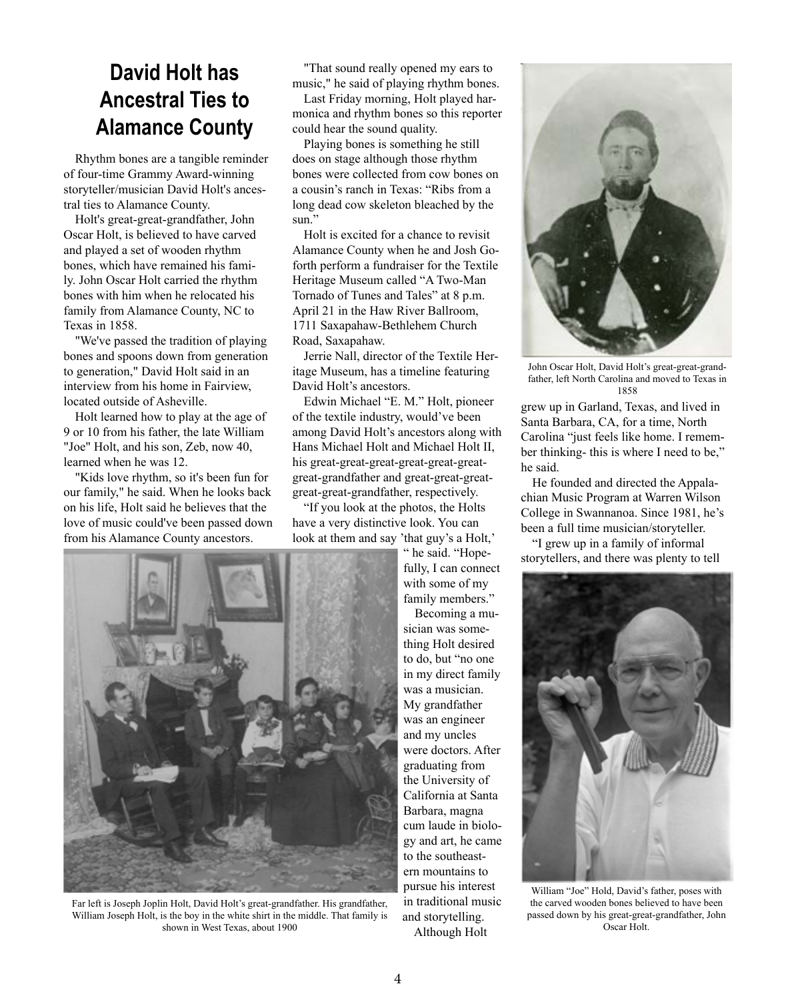# **David Holt has Ancestral Ties to Alamance County**

Rhythm bones are a tangible reminder of four-time Grammy Award-winning storyteller/musician David Holt's ancestral ties to Alamance County.

Holt's great-great-grandfather, John Oscar Holt, is believed to have carved and played a set of wooden rhythm bones, which have remained his family. John Oscar Holt carried the rhythm bones with him when he relocated his family from Alamance County, NC to Texas in 1858.

"We've passed the tradition of playing bones and spoons down from generation to generation," David Holt said in an interview from his home in Fairview, located outside of Asheville.

Holt learned how to play at the age of 9 or 10 from his father, the late William "Joe" Holt, and his son, Zeb, now 40, learned when he was 12.

"Kids love rhythm, so it's been fun for our family," he said. When he looks back on his life, Holt said he believes that the love of music could've been passed down from his Alamance County ancestors.

"That sound really opened my ears to music," he said of playing rhythm bones.

Last Friday morning, Holt played harmonica and rhythm bones so this reporter could hear the sound quality.

Playing bones is something he still does on stage although those rhythm bones were collected from cow bones on a cousin's ranch in Texas: "Ribs from a long dead cow skeleton bleached by the sun."

Holt is excited for a chance to revisit Alamance County when he and Josh Goforth perform a fundraiser for the Textile Heritage Museum called "A Two-Man Tornado of Tunes and Tales" at 8 p.m. April 21 in the Haw River Ballroom, 1711 Saxapahaw-Bethlehem Church Road, Saxapahaw.

Jerrie Nall, director of the Textile Heritage Museum, has a timeline featuring David Holt's ancestors.

Edwin Michael "E. M." Holt, pioneer of the textile industry, would've been among David Holt's ancestors along with Hans Michael Holt and Michael Holt II, his great-great-great-great-great-greatgreat-grandfather and great-great-greatgreat-great-grandfather, respectively.

"If you look at the photos, the Holts have a very distinctive look. You can look at them and say 'that guy's a Holt,'

> " he said. "Hopefully, I can connect with some of my family members."

Becoming a musician was something Holt desired to do, but "no one in my direct family was a musician. My grandfather was an engineer and my uncles were doctors. After graduating from the University of California at Santa Barbara, magna cum laude in biology and art, he came to the southeastern mountains to pursue his interest in traditional music and storytelling.

Although Holt



John Oscar Holt, David Holt's great-great-grandfather, left North Carolina and moved to Texas in 1858

grew up in Garland, Texas, and lived in Santa Barbara, CA, for a time, North Carolina "just feels like home. I remember thinking- this is where I need to be," he said.

He founded and directed the Appalachian Music Program at Warren Wilson College in Swannanoa. Since 1981, he's been a full time musician/storyteller.

"I grew up in a family of informal storytellers, and there was plenty to tell



William "Joe" Hold, David's father, poses with the carved wooden bones believed to have been passed down by his great-great-grandfather, John Oscar Holt.



Far left is Joseph Joplin Holt, David Holt's great-grandfather. His grandfather, William Joseph Holt, is the boy in the white shirt in the middle. That family is shown in West Texas, about 1900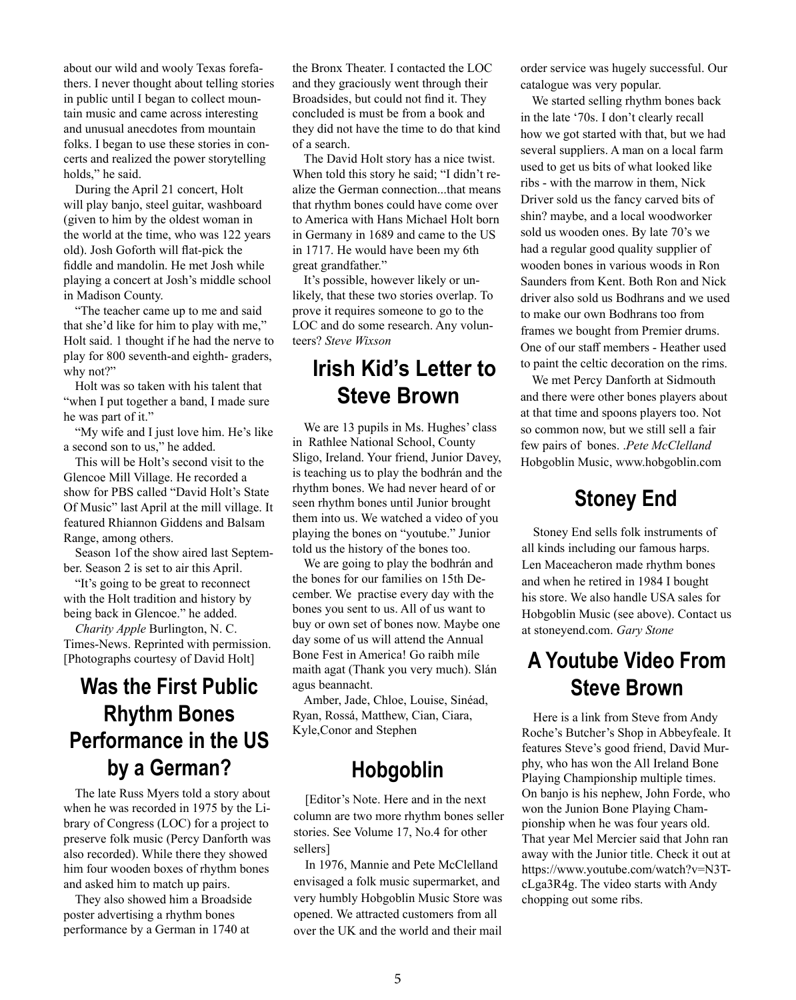about our wild and wooly Texas forefathers. I never thought about telling stories in public until I began to collect mountain music and came across interesting and unusual anecdotes from mountain folks. I began to use these stories in concerts and realized the power storytelling holds," he said.

During the April 21 concert, Holt will play banjo, steel guitar, washboard (given to him by the oldest woman in the world at the time, who was 122 years old). Josh Goforth will flat-pick the fiddle and mandolin. He met Josh while playing a concert at Josh's middle school in Madison County.

"The teacher came up to me and said that she'd like for him to play with me," Holt said. 1 thought if he had the nerve to play for 800 seventh-and eighth- graders, why not?"

Holt was so taken with his talent that "when I put together a band, I made sure he was part of it."

"My wife and I just love him. He's like a second son to us," he added.

This will be Holt's second visit to the Glencoe Mill Village. He recorded a show for PBS called "David Holt's State Of Music" last April at the mill village. It featured Rhiannon Giddens and Balsam Range, among others.

Season 1of the show aired last September. Season 2 is set to air this April.

"It's going to be great to reconnect with the Holt tradition and history by being back in Glencoe." he added.

*Charity Apple* Burlington, N. C. Times-News. Reprinted with permission. [Photographs courtesy of David Holt]

# **Was the First Public Rhythm Bones Performance in the US by a German?**

The late Russ Myers told a story about when he was recorded in 1975 by the Library of Congress (LOC) for a project to preserve folk music (Percy Danforth was also recorded). While there they showed him four wooden boxes of rhythm bones and asked him to match up pairs.

They also showed him a Broadside poster advertising a rhythm bones performance by a German in 1740 at

the Bronx Theater. I contacted the LOC and they graciously went through their Broadsides, but could not find it. They concluded is must be from a book and they did not have the time to do that kind of a search.

The David Holt story has a nice twist. When told this story he said; "I didn't realize the German connection...that means that rhythm bones could have come over to America with Hans Michael Holt born in Germany in 1689 and came to the US in 1717. He would have been my 6th great grandfather."

It's possible, however likely or unlikely, that these two stories overlap. To prove it requires someone to go to the LOC and do some research. Any volunteers? *Steve Wixson*

### **Irish Kid's Letter to Steve Brown**

We are 13 pupils in Ms. Hughes' class in Rathlee National School, County Sligo, Ireland. Your friend, Junior Davey, is teaching us to play the bodhrán and the rhythm bones. We had never heard of or seen rhythm bones until Junior brought them into us. We watched a video of you playing the bones on "youtube." Junior told us the history of the bones too.

We are going to play the bodhrán and the bones for our families on 15th December. We practise every day with the bones you sent to us. All of us want to buy or own set of bones now. Maybe one day some of us will attend the Annual Bone Fest in America! Go raibh míle maith agat (Thank you very much). Slán agus beannacht.

Amber, Jade, Chloe, Louise, Sinéad, Ryan, Rossá, Matthew, Cian, Ciara, Kyle,Conor and Stephen

### **Hobgoblin**

[Editor's Note. Here and in the next column are two more rhythm bones seller stories. See Volume 17, No.4 for other sellers]

In 1976, Mannie and Pete McClelland envisaged a folk music supermarket, and very humbly Hobgoblin Music Store was opened. We attracted customers from all over the UK and the world and their mail

order service was hugely successful. Our catalogue was very popular.

We started selling rhythm bones back in the late '70s. I don't clearly recall how we got started with that, but we had several suppliers. A man on a local farm used to get us bits of what looked like ribs - with the marrow in them, Nick Driver sold us the fancy carved bits of shin? maybe, and a local woodworker sold us wooden ones. By late 70's we had a regular good quality supplier of wooden bones in various woods in Ron Saunders from Kent. Both Ron and Nick driver also sold us Bodhrans and we used to make our own Bodhrans too from frames we bought from Premier drums. One of our staff members - Heather used to paint the celtic decoration on the rims.

We met Percy Danforth at Sidmouth and there were other bones players about at that time and spoons players too. Not so common now, but we still sell a fair few pairs of bones. .*Pete McClelland*  Hobgoblin Music, www.hobgoblin.com

#### **Stoney End**

Stoney End sells folk instruments of all kinds including our famous harps. Len Maceacheron made rhythm bones and when he retired in 1984 I bought his store. We also handle USA sales for Hobgoblin Music (see above). Contact us at stoneyend.com. *Gary Stone*

# **A Youtube Video From Steve Brown**

Here is a link from Steve from Andy Roche's Butcher's Shop in Abbeyfeale. It features Steve's good friend, David Murphy, who has won the All Ireland Bone Playing Championship multiple times. On banjo is his nephew, John Forde, who won the Junion Bone Playing Championship when he was four years old. That year Mel Mercier said that John ran away with the Junior title. Check it out at https://www.youtube.com/watch?v=N3TcLga3R4g. The video starts with Andy chopping out some ribs.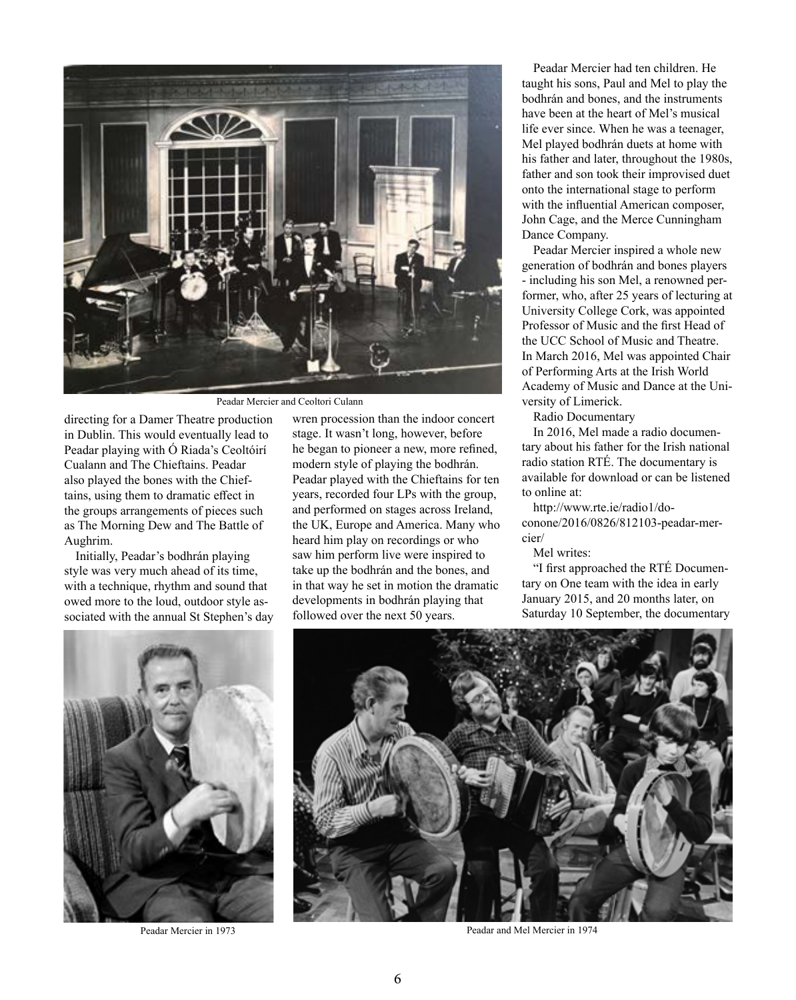

Peadar Mercier and Ceoltori Culann

directing for a Damer Theatre production in Dublin. This would eventually lead to Peadar playing with Ó Riada's Ceoltóirí Cualann and The Chieftains. Peadar also played the bones with the Chieftains, using them to dramatic effect in the groups arrangements of pieces such as The Morning Dew and The Battle of Aughrim.

Initially, Peadar's bodhrán playing style was very much ahead of its time, with a technique, rhythm and sound that owed more to the loud, outdoor style associated with the annual St Stephen's day wren procession than the indoor concert stage. It wasn't long, however, before he began to pioneer a new, more refined, modern style of playing the bodhrán. Peadar played with the Chieftains for ten years, recorded four LPs with the group, and performed on stages across Ireland, the UK, Europe and America. Many who heard him play on recordings or who saw him perform live were inspired to take up the bodhrán and the bones, and in that way he set in motion the dramatic developments in bodhrán playing that followed over the next 50 years.

Peadar Mercier had ten children. He taught his sons, Paul and Mel to play the bodhrán and bones, and the instruments have been at the heart of Mel's musical life ever since. When he was a teenager, Mel played bodhrán duets at home with his father and later, throughout the 1980s, father and son took their improvised duet onto the international stage to perform with the influential American composer, John Cage, and the Merce Cunningham Dance Company.

Peadar Mercier inspired a whole new generation of bodhrán and bones players - including his son Mel, a renowned performer, who, after 25 years of lecturing at University College Cork, was appointed Professor of Music and the first Head of the UCC School of Music and Theatre. In March 2016, Mel was appointed Chair of Performing Arts at the Irish World Academy of Music and Dance at the University of Limerick.

Radio Documentary

In 2016, Mel made a radio documentary about his father for the Irish national radio station RTÉ. The documentary is available for download or can be listened to online at:

http://www.rte.ie/radio1/doconone/2016/0826/812103-peadar-mercier/

Mel writes:

"I first approached the RTÉ Documentary on One team with the idea in early January 2015, and 20 months later, on Saturday 10 September, the documentary



Peadar Mercier in 1973



Peadar and Mel Mercier in 1974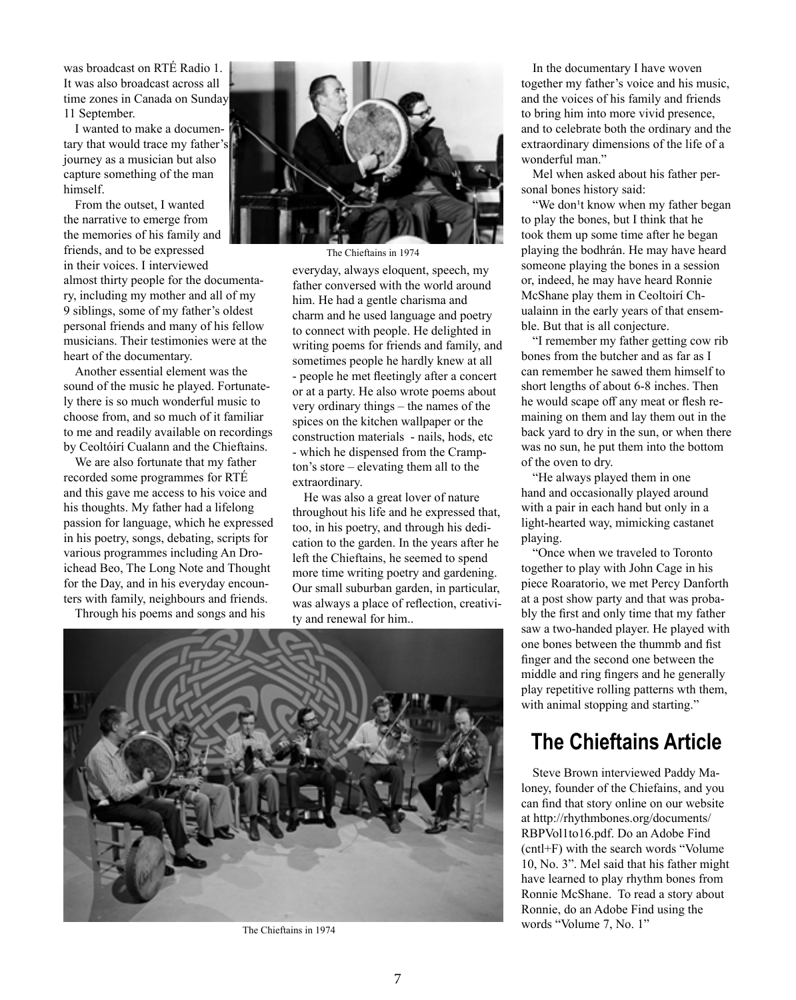was broadcast on RTÉ Radio 1. It was also broadcast across all time zones in Canada on Sunday 11 September.

I wanted to make a documentary that would trace my father's journey as a musician but also capture something of the man himself.

From the outset, I wanted the narrative to emerge from the memories of his family and friends, and to be expressed in their voices. I interviewed almost thirty people for the documentary, including my mother and all of my 9 siblings, some of my father's oldest personal friends and many of his fellow musicians. Their testimonies were at the heart of the documentary.

Another essential element was the sound of the music he played. Fortunately there is so much wonderful music to choose from, and so much of it familiar to me and readily available on recordings by Ceoltóirí Cualann and the Chieftains.

We are also fortunate that my father recorded some programmes for RTÉ and this gave me access to his voice and his thoughts. My father had a lifelong passion for language, which he expressed in his poetry, songs, debating, scripts for various programmes including An Droichead Beo, The Long Note and Thought for the Day, and in his everyday encounters with family, neighbours and friends.

Through his poems and songs and his



The Chieftains in 1974

everyday, always eloquent, speech, my father conversed with the world around him. He had a gentle charisma and charm and he used language and poetry to connect with people. He delighted in writing poems for friends and family, and sometimes people he hardly knew at all - people he met fleetingly after a concert or at a party. He also wrote poems about very ordinary things – the names of the spices on the kitchen wallpaper or the construction materials - nails, hods, etc - which he dispensed from the Crampton's store – elevating them all to the extraordinary.

He was also a great lover of nature throughout his life and he expressed that, too, in his poetry, and through his dedication to the garden. In the years after he left the Chieftains, he seemed to spend more time writing poetry and gardening. Our small suburban garden, in particular, was always a place of reflection, creativity and renewal for him..



The Chieftains in 1974

In the documentary I have woven together my father's voice and his music, and the voices of his family and friends to bring him into more vivid presence, and to celebrate both the ordinary and the extraordinary dimensions of the life of a wonderful man."

Mel when asked about his father personal bones history said:

"We don't know when my father began to play the bones, but I think that he took them up some time after he began playing the bodhrán. He may have heard someone playing the bones in a session or, indeed, he may have heard Ronnie McShane play them in Ceoltoirí Chualainn in the early years of that ensemble. But that is all conjecture.

"I remember my father getting cow rib bones from the butcher and as far as I can remember he sawed them himself to short lengths of about 6-8 inches. Then he would scape off any meat or flesh remaining on them and lay them out in the back yard to dry in the sun, or when there was no sun, he put them into the bottom of the oven to dry.

"He always played them in one hand and occasionally played around with a pair in each hand but only in a light-hearted way, mimicking castanet playing.

"Once when we traveled to Toronto together to play with John Cage in his piece Roaratorio, we met Percy Danforth at a post show party and that was probably the first and only time that my father saw a two-handed player. He played with one bones between the thummb and fist finger and the second one between the middle and ring fingers and he generally play repetitive rolling patterns wth them, with animal stopping and starting."

# **The Chieftains Article**

Steve Brown interviewed Paddy Maloney, founder of the Chiefains, and you can find that story online on our website at http://rhythmbones.org/documents/ RBPVol1to16.pdf. Do an Adobe Find (cntl+F) with the search words "Volume 10, No. 3". Mel said that his father might have learned to play rhythm bones from Ronnie McShane. To read a story about Ronnie, do an Adobe Find using the words "Volume 7, No. 1"